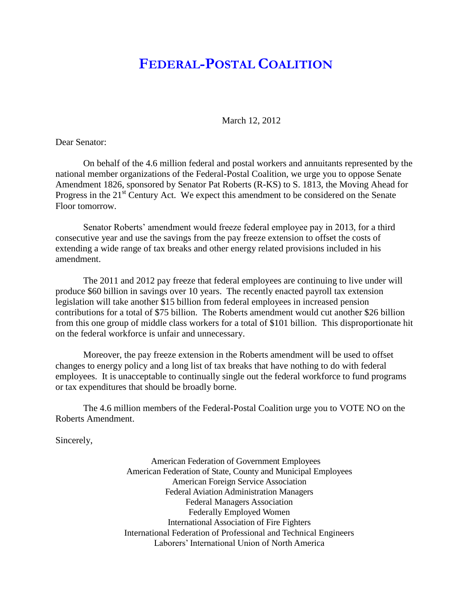## **FEDERAL-POSTAL COALITION**

March 12, 2012

Dear Senator:

On behalf of the 4.6 million federal and postal workers and annuitants represented by the national member organizations of the Federal-Postal Coalition, we urge you to oppose Senate Amendment 1826, sponsored by Senator Pat Roberts (R-KS) to S. 1813, the Moving Ahead for Progress in the  $21<sup>st</sup>$  Century Act. We expect this amendment to be considered on the Senate Floor tomorrow.

Senator Roberts' amendment would freeze federal employee pay in 2013, for a third consecutive year and use the savings from the pay freeze extension to offset the costs of extending a wide range of tax breaks and other energy related provisions included in his amendment.

The 2011 and 2012 pay freeze that federal employees are continuing to live under will produce \$60 billion in savings over 10 years. The recently enacted payroll tax extension legislation will take another \$15 billion from federal employees in increased pension contributions for a total of \$75 billion. The Roberts amendment would cut another \$26 billion from this one group of middle class workers for a total of \$101 billion. This disproportionate hit on the federal workforce is unfair and unnecessary.

Moreover, the pay freeze extension in the Roberts amendment will be used to offset changes to energy policy and a long list of tax breaks that have nothing to do with federal employees. It is unacceptable to continually single out the federal workforce to fund programs or tax expenditures that should be broadly borne.

The 4.6 million members of the Federal-Postal Coalition urge you to VOTE NO on the Roberts Amendment.

Sincerely,

American Federation of Government Employees American Federation of State, County and Municipal Employees American Foreign Service Association Federal Aviation Administration Managers Federal Managers Association Federally Employed Women International Association of Fire Fighters International Federation of Professional and Technical Engineers Laborers' International Union of North America